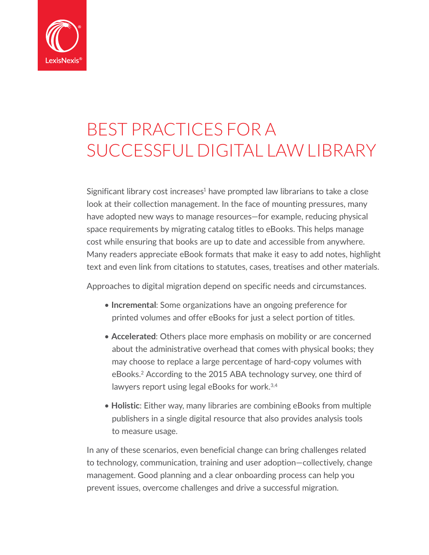

# BEST PRACTICES FOR A SUCCESSFUL DIGITAL LAW LIBRARY

Significant library cost increases $1$  have prompted law librarians to take a close look at their collection management. In the face of mounting pressures, many have adopted new ways to manage resources—for example, reducing physical space requirements by migrating catalog titles to eBooks. This helps manage cost while ensuring that books are up to date and accessible from anywhere. Many readers appreciate eBook formats that make it easy to add notes, highlight text and even link from citations to statutes, cases, treatises and other materials.

Approaches to digital migration depend on specific needs and circumstances.

- **Incremental**: Some organizations have an ongoing preference for printed volumes and offer eBooks for just a select portion of titles.
- **Accelerated**: Others place more emphasis on mobility or are concerned about the administrative overhead that comes with physical books; they may choose to replace a large percentage of hard-copy volumes with eBooks.2 According to the 2015 ABA technology survey, one third of lawyers report using legal eBooks for work.3,4
- **Holistic**: Either way, many libraries are combining eBooks from multiple publishers in a single digital resource that also provides analysis tools to measure usage.

In any of these scenarios, even beneficial change can bring challenges related to technology, communication, training and user adoption—collectively, change management. Good planning and a clear onboarding process can help you prevent issues, overcome challenges and drive a successful migration.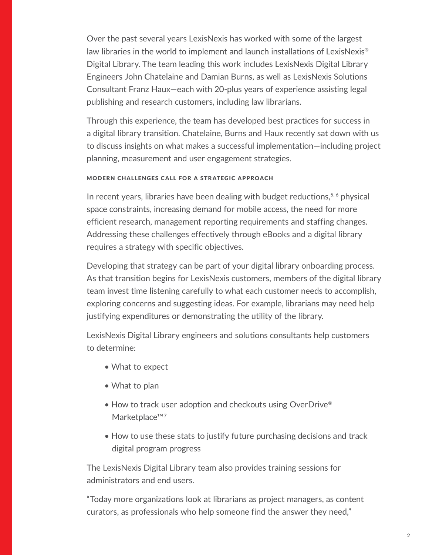Over the past several years LexisNexis has worked with some of the largest law libraries in the world to implement and launch installations of LexisNexis® Digital Library. The team leading this work includes LexisNexis Digital Library Engineers John Chatelaine and Damian Burns, as well as LexisNexis Solutions Consultant Franz Haux—each with 20-plus years of experience assisting legal publishing and research customers, including law librarians.

Through this experience, the team has developed best practices for success in a digital library transition. Chatelaine, Burns and Haux recently sat down with us to discuss insights on what makes a successful implementation—including project planning, measurement and user engagement strategies.

# Modern challenges call for a strategic approach

In recent years, libraries have been dealing with budget reductions, $5, 6$  physical space constraints, increasing demand for mobile access, the need for more efficient research, management reporting requirements and staffing changes. Addressing these challenges effectively through eBooks and a digital library requires a strategy with specific objectives.

Developing that strategy can be part of your digital library onboarding process. As that transition begins for LexisNexis customers, members of the digital library team invest time listening carefully to what each customer needs to accomplish, exploring concerns and suggesting ideas. For example, librarians may need help justifying expenditures or demonstrating the utility of the library.

LexisNexis Digital Library engineers and solutions consultants help customers to determine:

- What to expect
- What to plan
- How to track user adoption and checkouts using OverDrive® Marketplace™7
- How to use these stats to justify future purchasing decisions and track digital program progress

The LexisNexis Digital Library team also provides training sessions for administrators and end users.

"Today more organizations look at librarians as project managers, as content curators, as professionals who help someone find the answer they need,"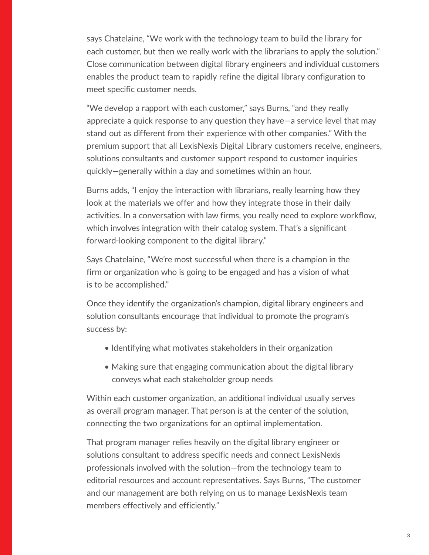says Chatelaine, "We work with the technology team to build the library for each customer, but then we really work with the librarians to apply the solution." Close communication between digital library engineers and individual customers enables the product team to rapidly refine the digital library configuration to meet specific customer needs.

"We develop a rapport with each customer," says Burns, "and they really appreciate a quick response to any question they have—a service level that may stand out as different from their experience with other companies." With the premium support that all LexisNexis Digital Library customers receive, engineers, solutions consultants and customer support respond to customer inquiries quickly—generally within a day and sometimes within an hour.

Burns adds, "I enjoy the interaction with librarians, really learning how they look at the materials we offer and how they integrate those in their daily activities. In a conversation with law firms, you really need to explore workflow, which involves integration with their catalog system. That's a significant forward-looking component to the digital library."

Says Chatelaine, "We're most successful when there is a champion in the firm or organization who is going to be engaged and has a vision of what is to be accomplished."

Once they identify the organization's champion, digital library engineers and solution consultants encourage that individual to promote the program's success by:

- Identifying what motivates stakeholders in their organization
- Making sure that engaging communication about the digital library conveys what each stakeholder group needs

Within each customer organization, an additional individual usually serves as overall program manager. That person is at the center of the solution, connecting the two organizations for an optimal implementation.

That program manager relies heavily on the digital library engineer or solutions consultant to address specific needs and connect LexisNexis professionals involved with the solution—from the technology team to editorial resources and account representatives. Says Burns, "The customer and our management are both relying on us to manage LexisNexis team members effectively and efficiently."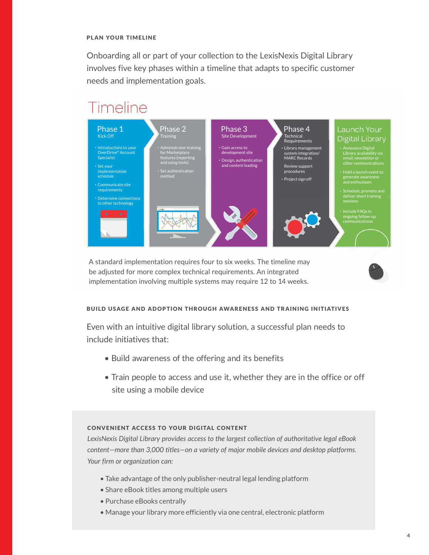#### plan your timeline

Onboarding all or part of your collection to the LexisNexis Digital Library involves five key phases within a timeline that adapts to specific customer needs and implementation goals.

# Timeline



A standard implementation requires four to six weeks. The timeline may be adjusted for more complex technical requirements. An integrated implementation involving multiple systems may require 12 to 14 weeks.

#### build usage and adoption through awareness and training initiatives

Even with an intuitive digital library solution, a successful plan needs to include initiatives that:

- Build awareness of the offering and its benefits
- Train people to access and use it, whether they are in the office or off site using a mobile device

#### Convenient access to your digital content

*LexisNexis Digital Library provides access to the largest collection of authoritative legal eBook content—more than 3,000 titles—on a variety of major mobile devices and desktop platforms. Your firm or organization can:* 

- Take advantage of the only publisher-neutral legal lending platform
- Share eBook titles among multiple users
- Purchase eBooks centrally
- Manage your library more efficiently via one central, electronic platform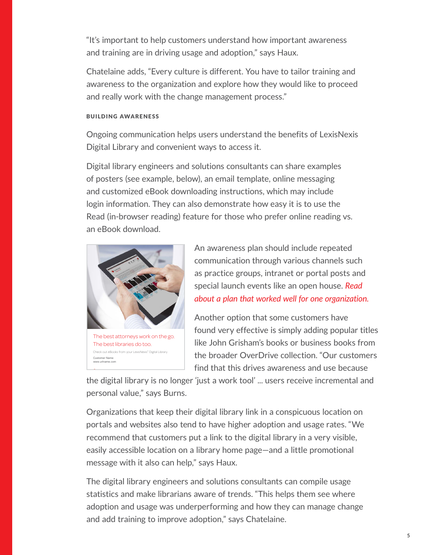"It's important to help customers understand how important awareness and training are in driving usage and adoption," says Haux.

Chatelaine adds, "Every culture is different. You have to tailor training and awareness to the organization and explore how they would like to proceed and really work with the change management process."

#### Building awareness

Ongoing communication helps users understand the benefits of LexisNexis Digital Library and convenient ways to access it.

Digital library engineers and solutions consultants can share examples of posters (see example, below), an email template, online messaging and customized eBook downloading instructions, which may include login information. They can also demonstrate how easy it is to use the Read (in-browser reading) feature for those who prefer online reading vs. an eBook download.



Check out eBooks from your LexisNexis® Digital Library. Customer Name www.urlname.com

An awareness plan should include repeated communication through various channels such as practice groups, intranet or portal posts and special launch events like an open house. *[Read](http://www.lexisnexis.com/lextalk/legal-content-insider/f/21/t/2294.aspx)  [about a plan that worked well for one organization.](http://www.lexisnexis.com/lextalk/legal-content-insider/f/21/t/2294.aspx)*

Another option that some customers have found very effective is simply adding popular titles like John Grisham's books or business books from the broader OverDrive collection. "Our customers find that this drives awareness and use because

the digital library is no longer 'just a work tool' ... users receive incremental and personal value," says Burns.

Organizations that keep their digital library link in a conspicuous location on portals and websites also tend to have higher adoption and usage rates. "We recommend that customers put a link to the digital library in a very visible, easily accessible location on a library home page—and a little promotional message with it also can help," says Haux.

The digital library engineers and solutions consultants can compile usage statistics and make librarians aware of trends. "This helps them see where adoption and usage was underperforming and how they can manage change and add training to improve adoption," says Chatelaine.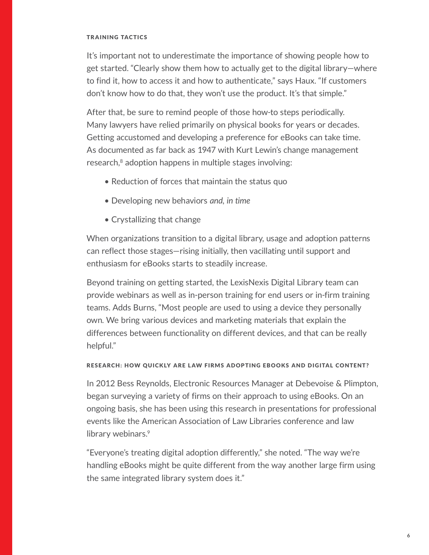#### **TRAINING TACTICS**

It's important not to underestimate the importance of showing people how to get started. "Clearly show them how to actually get to the digital library—where to find it, how to access it and how to authenticate," says Haux. "If customers don't know how to do that, they won't use the product. It's that simple."

After that, be sure to remind people of those how-to steps periodically. Many lawyers have relied primarily on physical books for years or decades. Getting accustomed and developing a preference for eBooks can take time. As documented as far back as 1947 with Kurt Lewin's change management research,<sup>8</sup> adoption happens in multiple stages involving:

- Reduction of forces that maintain the status quo
- Developing new behaviors *and, in time*
- Crystallizing that change

When organizations transition to a digital library, usage and adoption patterns can reflect those stages—rising initially, then vacillating until support and enthusiasm for eBooks starts to steadily increase.

Beyond training on getting started, the LexisNexis Digital Library team can provide webinars as well as in-person training for end users or in-firm training teams. Adds Burns, "Most people are used to using a device they personally own. We bring various devices and marketing materials that explain the differences between functionality on different devices, and that can be really helpful."

## RESEARCH: HOW QUICKLY ARE LAW FIRMS ADOPTING EBOOKS AND DIGITAL CONTENT?

In 2012 Bess Reynolds, Electronic Resources Manager at Debevoise & Plimpton, began surveying a variety of firms on their approach to using eBooks. On an ongoing basis, she has been using this research in presentations for professional events like the American Association of Law Libraries conference and law library webinars.<sup>9</sup>

"Everyone's treating digital adoption differently," she noted. "The way we're handling eBooks might be quite different from the way another large firm using the same integrated library system does it."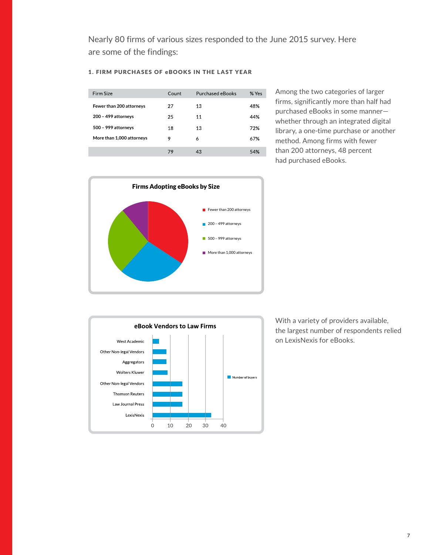Nearly 80 firms of various sizes responded to the June 2015 survey. Here are some of the findings:

| Firm Size                 | Count | <b>Purchased eBooks</b> | % Yes |
|---------------------------|-------|-------------------------|-------|
| Fewer than 200 attorneys  | 27    | 13                      | 48%   |
| 200 - 499 attorneys       | 25    | 11                      | 44%   |
| 500 - 999 attorneys       | 18    | 13                      | 72%   |
| More than 1,000 attorneys | 9     | 6                       | 67%   |
|                           | 79    | 43                      | 54%   |

Among the two categories of larger firms, significantly more than half had purchased eBooks in some manner whether through an integrated digital library, a one-time purchase or another method. Among firms with fewer than 200 attorneys, 48 percent had purchased eBooks.





With a variety of providers available, the largest number of respondents relied on LexisNexis for eBooks.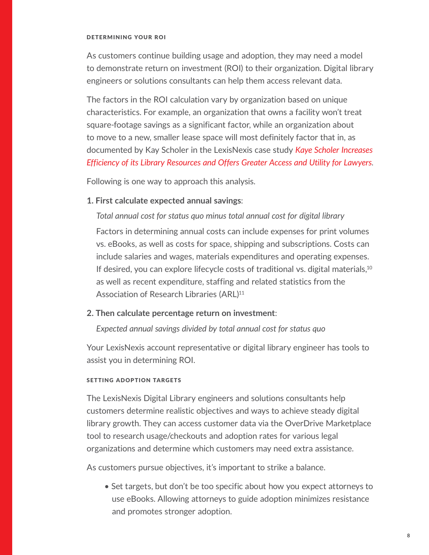#### determining your roi

As customers continue building usage and adoption, they may need a model to demonstrate return on investment (ROI) to their organization. Digital library engineers or solutions consultants can help them access relevant data.

The factors in the ROI calculation vary by organization based on unique characteristics. For example, an organization that owns a facility won't treat square-footage savings as a significant factor, while an organization about to move to a new, smaller lease space will most definitely factor that in, as documented by Kay Scholer in the LexisNexis case study *[Kaye Scholer Increases](http://www.lexisnexis.com/ebooks/documents/KayeScholer%20case%20study%20FINAL.pdf)  [Efficiency of its Library Resources and Offers Greater Access and Utility for Lawyers](http://www.lexisnexis.com/ebooks/documents/KayeScholer%20case%20study%20FINAL.pdf)*.

Following is one way to approach this analysis.

# **1. First calculate expected annual savings**:

*Total annual cost for status quo minus total annual cost for digital library* Factors in determining annual costs can include expenses for print volumes vs. eBooks, as well as costs for space, shipping and subscriptions. Costs can include salaries and wages, materials expenditures and operating expenses. If desired, you can explore lifecycle costs of traditional vs. digital materials,<sup>10</sup> as well as recent expenditure, staffing and related statistics from the Association of Research Libraries (ARL)<sup>11</sup>

### **2. Then calculate percentage return on investment**:

*Expected annual savings divided by total annual cost for status quo*

Your LexisNexis account representative or digital library engineer has tools to assist you in determining ROI.

### setting adoption targets

The LexisNexis Digital Library engineers and solutions consultants help customers determine realistic objectives and ways to achieve steady digital library growth. They can access customer data via the OverDrive Marketplace tool to research usage/checkouts and adoption rates for various legal organizations and determine which customers may need extra assistance.

As customers pursue objectives, it's important to strike a balance.

• Set targets, but don't be too specific about how you expect attorneys to use eBooks. Allowing attorneys to guide adoption minimizes resistance and promotes stronger adoption.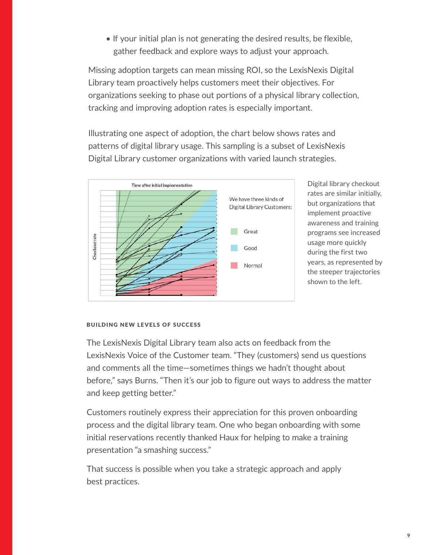• If your initial plan is not generating the desired results, be flexible, gather feedback and explore ways to adjust your approach.

Missing adoption targets can mean missing ROI, so the LexisNexis Digital Library team proactively helps customers meet their objectives. For organizations seeking to phase out portions of a physical library collection, tracking and improving adoption rates is especially important.

Illustrating one aspect of adoption, the chart below shows rates and patterns of digital library usage. This sampling is a subset of LexisNexis Digital Library customer organizations with varied launch strategies.



Digital library checkout rates are similar initially, but organizations that implement proactive awareness and training programs see increased usage more quickly during the first two years, as represented by the steeper trajectories shown to the left.

#### building new levels of success

The LexisNexis Digital Library team also acts on feedback from the LexisNexis Voice of the Customer team. "They (customers) send us questions and comments all the time—sometimes things we hadn't thought about before," says Burns. "Then it's our job to figure out ways to address the matter and keep getting better."

Customers routinely express their appreciation for this proven onboarding process and the digital library team. One who began onboarding with some initial reservations recently thanked Haux for helping to make a training presentation "a smashing success."

That success is possible when you take a strategic approach and apply best practices.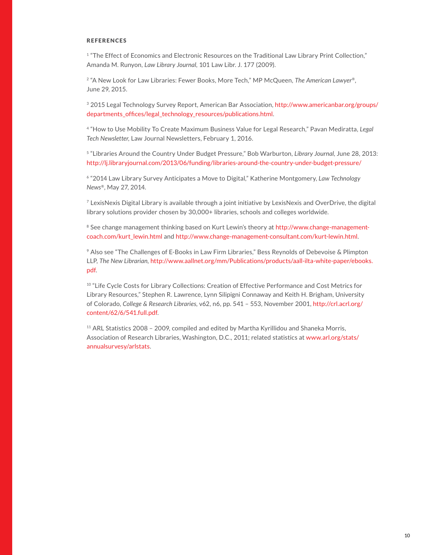#### **REFERENCES**

<sup>1</sup> "The Effect of Economics and Electronic Resources on the Traditional Law Library Print Collection," Amanda M. Runyon, *Law Library Journal*, 101 Law Libr. J. 177 (2009).

2 "A New Look for Law Libraries: Fewer Books, More Tech," MP McQueen, *The American Lawyer®*, June 29, 2015.

3 2015 Legal Technology Survey Report, American Bar Association, [http://www.americanbar.org/groups/](http://www.americanbar.org/groups/departments_offices/legal_technology_resources/publications.html) [departments\\_offices/legal\\_technology\\_resources/publications.html.](http://www.americanbar.org/groups/departments_offices/legal_technology_resources/publications.html)

4 "How to Use Mobility To Create Maximum Business Value for Legal Research," Pavan Mediratta, *Legal Tech Newsletter*, Law Journal Newsletters, February 1, 2016.

<sup>5</sup> "Libraries Around the Country Under Budget Pressure," Bob Warburton, *Library Journal*, June 28, 2013: <http://lj.libraryjournal.com/2013/06/funding/libraries-around-the-country-under-budget-pressure/>

6 "2014 Law Library Survey Anticipates a Move to Digital," Katherine Montgomery, *Law Technology News®*, May 27, 2014.

7 LexisNexis Digital Library is available through a joint initiative by LexisNexis and OverDrive, the digital library solutions provider chosen by 30,000+ libraries, schools and colleges worldwide.

<sup>8</sup> See change management thinking based on Kurt Lewin's theory at [http://www.change-management](http://www.change-management-coach.com/kurt_lewin.html)[coach.com/kurt\\_lewin.html](http://www.change-management-coach.com/kurt_lewin.html) and <http://www.change-management-consultant.com/kurt-lewin.html>.

9 Also see "The Challenges of E-Books in Law Firm Libraries," Bess Reynolds of Debevoise & Plimpton LLP, *The New Librarian*, [http://www.aallnet.org/mm/Publications/products/aall-ilta-white-paper/ebooks.](http://www.aallnet.org/mm/Publications/products/aall-ilta-white-paper/ebooks.pdf) [pdf.](http://www.aallnet.org/mm/Publications/products/aall-ilta-white-paper/ebooks.pdf)

<sup>10</sup> "Life Cycle Costs for Library Collections: Creation of Effective Performance and Cost Metrics for Library Resources," Stephen R. Lawrence, Lynn Silipigni Connaway and Keith H. Brigham, University of Colorado, *College & Research Libraries*, v62, n6, pp. 541 – 553, November 2001, [http://crl.acrl.org/](http://crl.acrl.org/content/62/6/541.full.pdf) [content/62/6/541.full.pdf.](http://crl.acrl.org/content/62/6/541.full.pdf)

<sup>11</sup> ARL Statistics 2008 - 2009, compiled and edited by Martha Kyrillidou and Shaneka Morris, Association of Research Libraries, Washington, D.C., 2011; related statistics at [www.arl.org/stats/](www.arl.org/stats/annualsurvesy/arlstats) [annualsurvesy/arlstats.](www.arl.org/stats/annualsurvesy/arlstats)